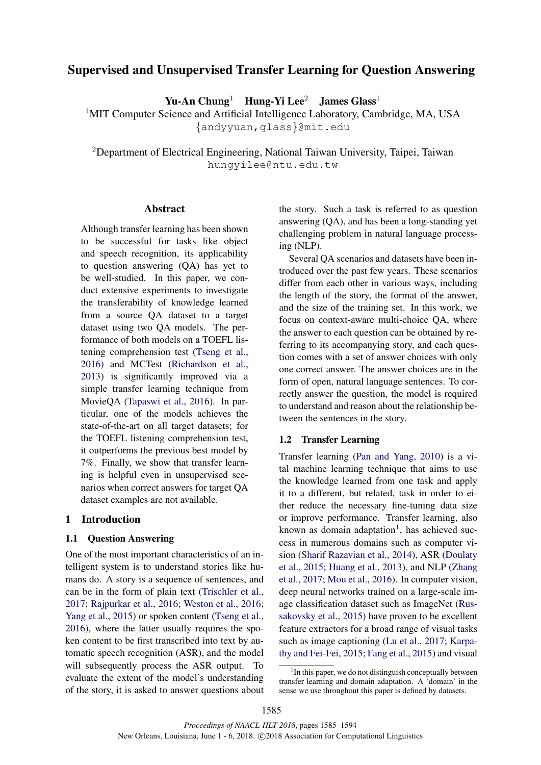# Supervised and Unsupervised Transfer Learning for Question Answering

Yu-An Chung<sup>1</sup> Hung-Yi Lee<sup>2</sup> James Glass<sup>1</sup>

<sup>1</sup>MIT Computer Science and Artificial Intelligence Laboratory, Cambridge, MA, USA {andyyuan,glass}@mit.edu

<sup>2</sup>Department of Electrical Engineering, National Taiwan University, Taipei, Taiwan hungyilee@ntu.edu.tw

# Abstract

Although transfer learning has been shown to be successful for tasks like object and speech recognition, its applicability to question answering (QA) has yet to be well-studied. In this paper, we conduct extensive experiments to investigate the transferability of knowledge learned from a source QA dataset to a target dataset using two QA models. The performance of both models on a TOEFL listening comprehension test (Tseng et al., 2016) and MCTest (Richardson et al., 2013) is significantly improved via a simple transfer learning technique from MovieQA (Tapaswi et al., 2016). In particular, one of the models achieves the state-of-the-art on all target datasets; for the TOEFL listening comprehension test, it outperforms the previous best model by 7%. Finally, we show that transfer learning is helpful even in unsupervised scenarios when correct answers for target QA dataset examples are not available.

#### 1 Introduction

#### 1.1 Question Answering

One of the most important characteristics of an intelligent system is to understand stories like humans do. A story is a sequence of sentences, and can be in the form of plain text (Trischler et al., 2017; Rajpurkar et al., 2016; Weston et al., 2016; Yang et al., 2015) or spoken content (Tseng et al., 2016), where the latter usually requires the spoken content to be first transcribed into text by automatic speech recognition (ASR), and the model will subsequently process the ASR output. To evaluate the extent of the model's understanding of the story, it is asked to answer questions about the story. Such a task is referred to as question answering (QA), and has been a long-standing yet challenging problem in natural language processing (NLP).

Several QA scenarios and datasets have been introduced over the past few years. These scenarios differ from each other in various ways, including the length of the story, the format of the answer, and the size of the training set. In this work, we focus on context-aware multi-choice QA, where the answer to each question can be obtained by referring to its accompanying story, and each question comes with a set of answer choices with only one correct answer. The answer choices are in the form of open, natural language sentences. To correctly answer the question, the model is required to understand and reason about the relationship between the sentences in the story.

### 1.2 Transfer Learning

Transfer learning (Pan and Yang, 2010) is a vital machine learning technique that aims to use the knowledge learned from one task and apply it to a different, but related, task in order to either reduce the necessary fine-tuning data size or improve performance. Transfer learning, also known as domain adaptation<sup>1</sup>, has achieved success in numerous domains such as computer vision (Sharif Razavian et al., 2014), ASR (Doulaty et al., 2015; Huang et al., 2013), and NLP (Zhang et al., 2017; Mou et al., 2016). In computer vision, deep neural networks trained on a large-scale image classification dataset such as ImageNet (Russakovsky et al., 2015) have proven to be excellent feature extractors for a broad range of visual tasks such as image captioning (Lu et al., 2017; Karpathy and Fei-Fei, 2015; Fang et al., 2015) and visual

<sup>&</sup>lt;sup>1</sup> In this paper, we do not distinguish conceptually between transfer learning and domain adaptation. A 'domain' in the sense we use throughout this paper is defined by datasets.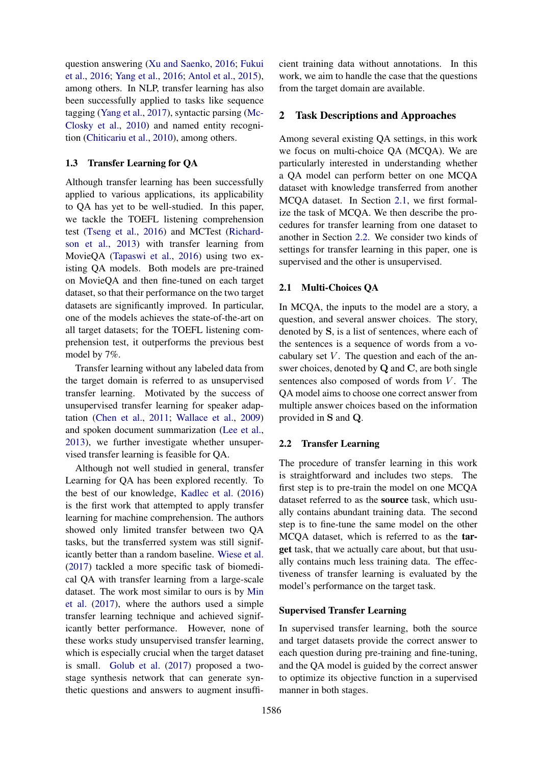question answering (Xu and Saenko, 2016; Fukui et al., 2016; Yang et al., 2016; Antol et al., 2015), among others. In NLP, transfer learning has also been successfully applied to tasks like sequence tagging (Yang et al., 2017), syntactic parsing (Mc-Closky et al., 2010) and named entity recognition (Chiticariu et al., 2010), among others.

# 1.3 Transfer Learning for QA

Although transfer learning has been successfully applied to various applications, its applicability to QA has yet to be well-studied. In this paper, we tackle the TOEFL listening comprehension test (Tseng et al., 2016) and MCTest (Richardson et al., 2013) with transfer learning from MovieQA (Tapaswi et al., 2016) using two existing QA models. Both models are pre-trained on MovieQA and then fine-tuned on each target dataset, so that their performance on the two target datasets are significantly improved. In particular, one of the models achieves the state-of-the-art on all target datasets; for the TOEFL listening comprehension test, it outperforms the previous best model by 7%.

Transfer learning without any labeled data from the target domain is referred to as unsupervised transfer learning. Motivated by the success of unsupervised transfer learning for speaker adaptation (Chen et al., 2011; Wallace et al., 2009) and spoken document summarization (Lee et al., 2013), we further investigate whether unsupervised transfer learning is feasible for QA.

Although not well studied in general, transfer Learning for QA has been explored recently. To the best of our knowledge, Kadlec et al. (2016) is the first work that attempted to apply transfer learning for machine comprehension. The authors showed only limited transfer between two QA tasks, but the transferred system was still significantly better than a random baseline. Wiese et al. (2017) tackled a more specific task of biomedical QA with transfer learning from a large-scale dataset. The work most similar to ours is by Min et al. (2017), where the authors used a simple transfer learning technique and achieved significantly better performance. However, none of these works study unsupervised transfer learning, which is especially crucial when the target dataset is small. Golub et al. (2017) proposed a twostage synthesis network that can generate synthetic questions and answers to augment insufficient training data without annotations. In this work, we aim to handle the case that the questions from the target domain are available.

# 2 Task Descriptions and Approaches

Among several existing QA settings, in this work we focus on multi-choice QA (MCQA). We are particularly interested in understanding whether a QA model can perform better on one MCQA dataset with knowledge transferred from another MCQA dataset. In Section 2.1, we first formalize the task of MCQA. We then describe the procedures for transfer learning from one dataset to another in Section 2.2. We consider two kinds of settings for transfer learning in this paper, one is supervised and the other is unsupervised.

#### 2.1 Multi-Choices QA

In MCQA, the inputs to the model are a story, a question, and several answer choices. The story, denoted by S, is a list of sentences, where each of the sentences is a sequence of words from a vocabulary set  $V$ . The question and each of the answer choices, denoted by Q and C, are both single sentences also composed of words from  $V$ . The QA model aims to choose one correct answer from multiple answer choices based on the information provided in S and Q.

### 2.2 Transfer Learning

The procedure of transfer learning in this work is straightforward and includes two steps. The first step is to pre-train the model on one MCQA dataset referred to as the source task, which usually contains abundant training data. The second step is to fine-tune the same model on the other MCQA dataset, which is referred to as the target task, that we actually care about, but that usually contains much less training data. The effectiveness of transfer learning is evaluated by the model's performance on the target task.

## Supervised Transfer Learning

In supervised transfer learning, both the source and target datasets provide the correct answer to each question during pre-training and fine-tuning, and the QA model is guided by the correct answer to optimize its objective function in a supervised manner in both stages.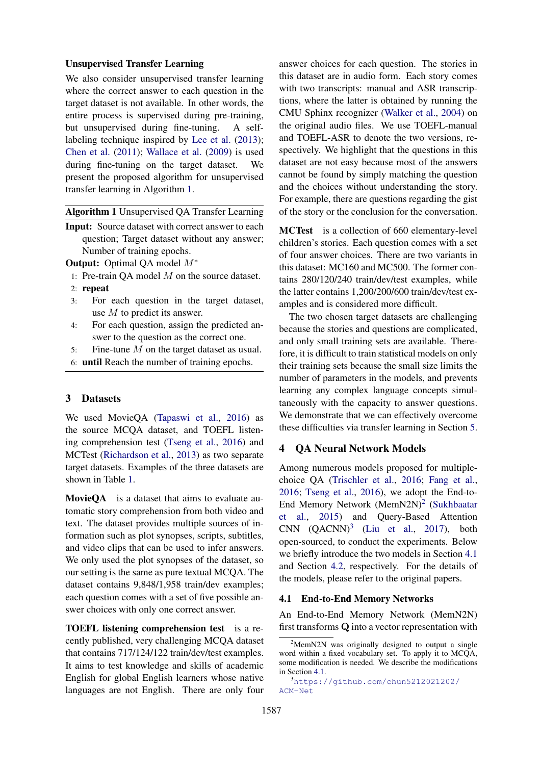### Unsupervised Transfer Learning

We also consider unsupervised transfer learning where the correct answer to each question in the target dataset is not available. In other words, the entire process is supervised during pre-training, but unsupervised during fine-tuning. A selflabeling technique inspired by Lee et al. (2013); Chen et al. (2011); Wallace et al. (2009) is used during fine-tuning on the target dataset. We present the proposed algorithm for unsupervised transfer learning in Algorithm 1.

Algorithm 1 Unsupervised QA Transfer Learning

**Input:** Source dataset with correct answer to each question; Target dataset without any answer; Number of training epochs.

Output: Optimal QA model M∗

- 1: Pre-train QA model M on the source dataset.
- 2: repeat
- 3: For each question in the target dataset, use M to predict its answer.
- 4: For each question, assign the predicted answer to the question as the correct one.
- 5: Fine-tune M on the target dataset as usual.
- 6: until Reach the number of training epochs.

## 3 Datasets

We used MovieQA (Tapaswi et al., 2016) as the source MCQA dataset, and TOEFL listening comprehension test (Tseng et al., 2016) and MCTest (Richardson et al., 2013) as two separate target datasets. Examples of the three datasets are shown in Table 1.

MovieQA is a dataset that aims to evaluate automatic story comprehension from both video and text. The dataset provides multiple sources of information such as plot synopses, scripts, subtitles, and video clips that can be used to infer answers. We only used the plot synopses of the dataset, so our setting is the same as pure textual MCQA. The dataset contains 9,848/1,958 train/dev examples; each question comes with a set of five possible answer choices with only one correct answer.

TOEFL listening comprehension test is a recently published, very challenging MCQA dataset that contains 717/124/122 train/dev/test examples. It aims to test knowledge and skills of academic English for global English learners whose native languages are not English. There are only four

answer choices for each question. The stories in this dataset are in audio form. Each story comes with two transcripts: manual and ASR transcriptions, where the latter is obtained by running the CMU Sphinx recognizer (Walker et al., 2004) on the original audio files. We use TOEFL-manual and TOEFL-ASR to denote the two versions, respectively. We highlight that the questions in this dataset are not easy because most of the answers cannot be found by simply matching the question and the choices without understanding the story. For example, there are questions regarding the gist of the story or the conclusion for the conversation.

MCTest is a collection of 660 elementary-level children's stories. Each question comes with a set of four answer choices. There are two variants in this dataset: MC160 and MC500. The former contains 280/120/240 train/dev/test examples, while the latter contains 1,200/200/600 train/dev/test examples and is considered more difficult.

The two chosen target datasets are challenging because the stories and questions are complicated, and only small training sets are available. Therefore, it is difficult to train statistical models on only their training sets because the small size limits the number of parameters in the models, and prevents learning any complex language concepts simultaneously with the capacity to answer questions. We demonstrate that we can effectively overcome these difficulties via transfer learning in Section 5.

### 4 QA Neural Network Models

Among numerous models proposed for multiplechoice QA (Trischler et al., 2016; Fang et al., 2016; Tseng et al., 2016), we adopt the End-to-End Memory Network (MemN2N)<sup>2</sup> (Sukhbaatar et al., 2015) and Query-Based Attention CNN  $(QACNN)^3$  (Liu et al., 2017), both open-sourced, to conduct the experiments. Below we briefly introduce the two models in Section 4.1 and Section 4.2, respectively. For the details of the models, please refer to the original papers.

#### 4.1 End-to-End Memory Networks

An End-to-End Memory Network (MemN2N) first transforms Q into a vector representation with

 $2$ MemN2N was originally designed to output a single word within a fixed vocabulary set. To apply it to MCQA, some modification is needed. We describe the modifications in Section 4.1.

<sup>3</sup>https://github.com/chun5212021202/ ACM-Net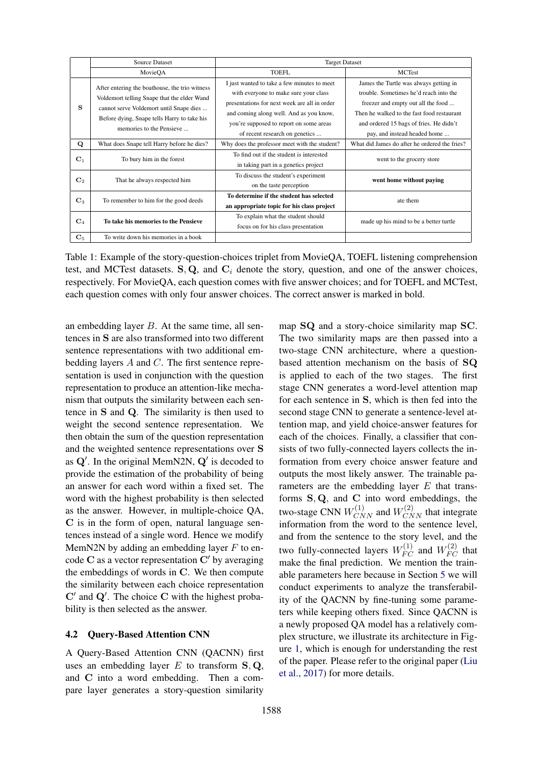|                | <b>Source Dataset</b>                                                                                                                                                                                               | <b>Target Dataset</b>                                                                                                                                                                                                                                        |                                                                                                                                                                                                                                                 |  |
|----------------|---------------------------------------------------------------------------------------------------------------------------------------------------------------------------------------------------------------------|--------------------------------------------------------------------------------------------------------------------------------------------------------------------------------------------------------------------------------------------------------------|-------------------------------------------------------------------------------------------------------------------------------------------------------------------------------------------------------------------------------------------------|--|
|                | MovieOA                                                                                                                                                                                                             | <b>TOEFL</b>                                                                                                                                                                                                                                                 | <b>MCTest</b>                                                                                                                                                                                                                                   |  |
| s              | After entering the boathouse, the trio witness<br>Voldemort telling Snape that the elder Wand<br>cannot serve Voldemort until Snape dies<br>Before dying, Snape tells Harry to take his<br>memories to the Pensieve | I just wanted to take a few minutes to meet<br>with everyone to make sure your class<br>presentations for next week are all in order<br>and coming along well. And as you know,<br>you're supposed to report on some areas<br>of recent research on genetics | James the Turtle was always getting in<br>trouble. Sometimes he'd reach into the<br>freezer and empty out all the food<br>Then he walked to the fast food restaurant<br>and ordered 15 bags of fries. He didn't<br>pay, and instead headed home |  |
| Q              | What does Snape tell Harry before he dies?                                                                                                                                                                          | Why does the professor meet with the student?                                                                                                                                                                                                                | What did James do after he ordered the fries?                                                                                                                                                                                                   |  |
| $\mathbf{C}_1$ | To bury him in the forest                                                                                                                                                                                           | To find out if the student is interested<br>in taking part in a genetics project                                                                                                                                                                             | went to the grocery store                                                                                                                                                                                                                       |  |
| $\mathbf{C}_2$ | That he always respected him                                                                                                                                                                                        | To discuss the student's experiment<br>on the taste perception                                                                                                                                                                                               | went home without paying                                                                                                                                                                                                                        |  |
| $C_3$          | To remember to him for the good deeds                                                                                                                                                                               | To determine if the student has selected<br>an appropriate topic for his class project                                                                                                                                                                       | ate them                                                                                                                                                                                                                                        |  |
| $\mathbf{C}_4$ | To take his memories to the Pensieve                                                                                                                                                                                | To explain what the student should<br>focus on for his class presentation                                                                                                                                                                                    | made up his mind to be a better turtle                                                                                                                                                                                                          |  |
| $\mathbf{C}_5$ | To write down his memories in a book                                                                                                                                                                                |                                                                                                                                                                                                                                                              |                                                                                                                                                                                                                                                 |  |

Table 1: Example of the story-question-choices triplet from MovieQA, TOEFL listening comprehension test, and MCTest datasets.  $S, Q$ , and  $C_i$  denote the story, question, and one of the answer choices, respectively. For MovieQA, each question comes with five answer choices; and for TOEFL and MCTest, each question comes with only four answer choices. The correct answer is marked in bold.

an embedding layer  $B$ . At the same time, all sentences in S are also transformed into two different sentence representations with two additional embedding layers A and C. The first sentence representation is used in conjunction with the question representation to produce an attention-like mechanism that outputs the similarity between each sentence in S and Q. The similarity is then used to weight the second sentence representation. We then obtain the sum of the question representation and the weighted sentence representations over S as  $Q'$ . In the original MemN2N,  $Q'$  is decoded to provide the estimation of the probability of being an answer for each word within a fixed set. The word with the highest probability is then selected as the answer. However, in multiple-choice QA, C is in the form of open, natural language sentences instead of a single word. Hence we modify MemN2N by adding an embedding layer  $F$  to encode  $C$  as a vector representation  $C'$  by averaging the embeddings of words in C. We then compute the similarity between each choice representation  $C'$  and  $Q'$ . The choice C with the highest probability is then selected as the answer.

### 4.2 Query-Based Attention CNN

A Query-Based Attention CNN (QACNN) first uses an embedding layer  $E$  to transform  $S, Q$ , and C into a word embedding. Then a compare layer generates a story-question similarity

map SQ and a story-choice similarity map SC. The two similarity maps are then passed into a two-stage CNN architecture, where a questionbased attention mechanism on the basis of SQ is applied to each of the two stages. The first stage CNN generates a word-level attention map for each sentence in S, which is then fed into the second stage CNN to generate a sentence-level attention map, and yield choice-answer features for each of the choices. Finally, a classifier that consists of two fully-connected layers collects the information from every choice answer feature and outputs the most likely answer. The trainable parameters are the embedding layer E that transforms S, Q, and C into word embeddings, the two-stage CNN  $W_{CNN}^{(1)}$  and  $W_{CNN}^{(2)}$  that integrate information from the word to the sentence level, and from the sentence to the story level, and the two fully-connected layers  $W_{FC}^{(1)}$  and  $W_{FC}^{(2)}$  that make the final prediction. We mention the trainable parameters here because in Section 5 we will conduct experiments to analyze the transferability of the QACNN by fine-tuning some parameters while keeping others fixed. Since QACNN is a newly proposed QA model has a relatively complex structure, we illustrate its architecture in Figure 1, which is enough for understanding the rest of the paper. Please refer to the original paper (Liu et al., 2017) for more details.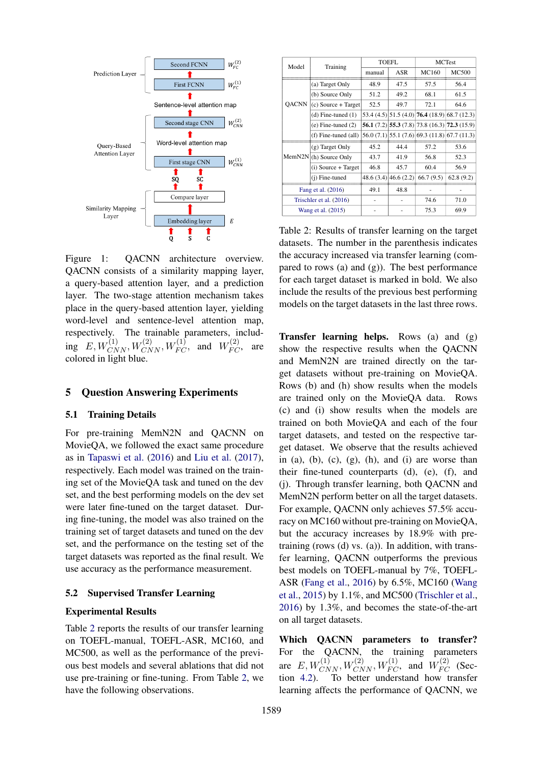

Figure 1: QACNN architecture overview. QACNN consists of a similarity mapping layer, a query-based attention layer, and a prediction layer. The two-stage attention mechanism takes place in the query-based attention layer, yielding word-level and sentence-level attention map, respectively. The trainable parameters, including  $E, W_{CNN}^{(1)}, W_{CNN}^{(2)}, W_{FC}^{(1)},$  and  $W_{FC}^{(2)},$  are colored in light blue.

### 5 Question Answering Experiments

### 5.1 Training Details

For pre-training MemN2N and QACNN on MovieQA, we followed the exact same procedure as in Tapaswi et al. (2016) and Liu et al. (2017), respectively. Each model was trained on the training set of the MovieQA task and tuned on the dev set, and the best performing models on the dev set were later fine-tuned on the target dataset. During fine-tuning, the model was also trained on the training set of target datasets and tuned on the dev set, and the performance on the testing set of the target datasets was reported as the final result. We use accuracy as the performance measurement.

#### 5.2 Supervised Transfer Learning

#### Experimental Results

Table 2 reports the results of our transfer learning on TOEFL-manual, TOEFL-ASR, MC160, and MC500, as well as the performance of the previous best models and several ablations that did not use pre-training or fine-tuning. From Table 2, we have the following observations.

| Model                   | Training                            | <b>TOEFL</b> |                       | <b>MCTest</b>                                                   |              |
|-------------------------|-------------------------------------|--------------|-----------------------|-----------------------------------------------------------------|--------------|
|                         |                                     | manual       | ASR                   | MC160                                                           | <b>MC500</b> |
|                         | (a) Target Only                     | 48.9         | 47.5                  | 57.5                                                            | 56.4         |
|                         | (b) Source Only                     | 51.2         | 49.2                  | 68.1                                                            | 61.5         |
| QACNN                   | $(c)$ Source + Target               | 52.5         | 49.7                  | 72.1                                                            | 64.6         |
|                         | $(d)$ Fine-tuned $(1)$              |              |                       | $53.4$ (4.5) $\left  51.5$ (4.0) <b>76.4</b> (18.9) 68.7 (12.3) |              |
|                         | $(e)$ Fine-tuned $(2)$              |              |                       | 56.1 $(7.2)$ 55.3 $(7.8)$ 73.8 $(16.3)$ 72.3 $(15.9)$           |              |
|                         | $(f)$ Fine-tuned $(all)$            |              |                       | 56.0 (7.1) 55.1 (7.6) 69.3 (11.8) 67.7 (11.3)                   |              |
|                         | (g) Target Only                     | 45.2         | 44.4                  | 57.2                                                            | 53.6         |
|                         | MemN2N <sub>l</sub> (h) Source Only | 43.7         | 41.9                  | 56.8                                                            | 52.3         |
|                         | $(i)$ Source + Target               | 46.8         | 45.7                  | 60.4                                                            | 56.9         |
|                         | (i) Fine-tuned                      |              | 48.6 (3.4) 46.6 (2.2) | 66.7(9.5)                                                       | 62.8(9.2)    |
| Fang et al. (2016)      |                                     | 49.1         | 48.8                  |                                                                 |              |
| Trischler et al. (2016) |                                     |              |                       | 74.6                                                            | 71.0         |
|                         | Wang et al. (2015)                  |              |                       | 75.3                                                            | 69.9         |

Table 2: Results of transfer learning on the target datasets. The number in the parenthesis indicates the accuracy increased via transfer learning (compared to rows (a) and  $(g)$ ). The best performance for each target dataset is marked in bold. We also include the results of the previous best performing models on the target datasets in the last three rows.

**Transfer learning helps.** Rows (a) and  $(g)$ show the respective results when the QACNN and MemN2N are trained directly on the target datasets without pre-training on MovieQA. Rows (b) and (h) show results when the models are trained only on the MovieQA data. Rows (c) and (i) show results when the models are trained on both MovieQA and each of the four target datasets, and tested on the respective target dataset. We observe that the results achieved in (a), (b), (c),  $(g)$ , (h), and (i) are worse than their fine-tuned counterparts (d), (e), (f), and (j). Through transfer learning, both QACNN and MemN2N perform better on all the target datasets. For example, QACNN only achieves 57.5% accuracy on MC160 without pre-training on MovieQA, but the accuracy increases by 18.9% with pretraining (rows (d) vs. (a)). In addition, with transfer learning, QACNN outperforms the previous best models on TOEFL-manual by 7%, TOEFL-ASR (Fang et al., 2016) by 6.5%, MC160 (Wang et al., 2015) by 1.1%, and MC500 (Trischler et al., 2016) by 1.3%, and becomes the state-of-the-art on all target datasets.

Which QACNN parameters to transfer? For the QACNN, the training parameters are  $E, W_{CNN}^{(1)}, W_{CNN}^{(2)}, W_{FC}^{(1)},$  and  $W_{FC}^{(2)}$  (Section 4.2). To better understand how transfer learning affects the performance of QACNN, we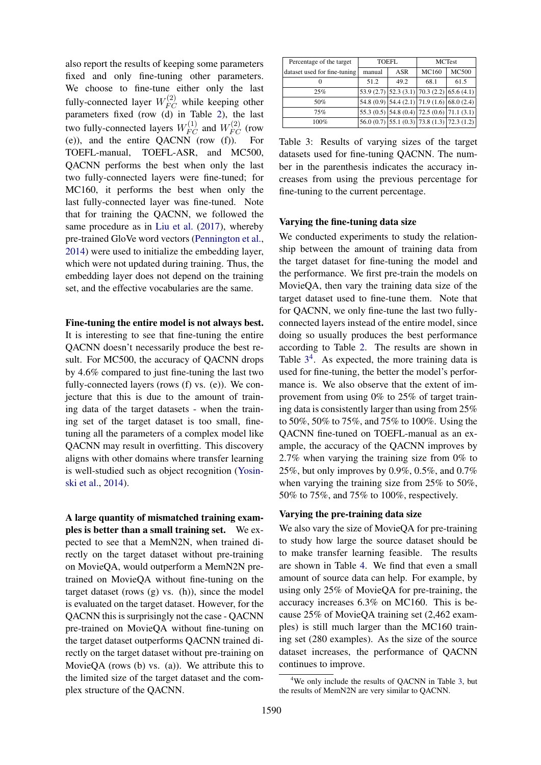also report the results of keeping some parameters fixed and only fine-tuning other parameters. We choose to fine-tune either only the last fully-connected layer  $W_{FC}^{(2)}$  while keeping other parameters fixed (row (d) in Table 2), the last two fully-connected layers  $W_{FC}^{(1)}$  and  $W_{FC}^{(2)}$  (row (e)), and the entire QACNN (row (f)). For TOEFL-manual, TOEFL-ASR, and MC500, QACNN performs the best when only the last two fully-connected layers were fine-tuned; for MC160, it performs the best when only the last fully-connected layer was fine-tuned. Note that for training the QACNN, we followed the same procedure as in Liu et al. (2017), whereby pre-trained GloVe word vectors (Pennington et al., 2014) were used to initialize the embedding layer, which were not updated during training. Thus, the embedding layer does not depend on the training set, and the effective vocabularies are the same.

# Fine-tuning the entire model is not always best.

It is interesting to see that fine-tuning the entire QACNN doesn't necessarily produce the best result. For MC500, the accuracy of QACNN drops by 4.6% compared to just fine-tuning the last two fully-connected layers (rows (f) vs. (e)). We conjecture that this is due to the amount of training data of the target datasets - when the training set of the target dataset is too small, finetuning all the parameters of a complex model like QACNN may result in overfitting. This discovery aligns with other domains where transfer learning is well-studied such as object recognition (Yosinski et al., 2014).

A large quantity of mismatched training examples is better than a small training set. We expected to see that a MemN2N, when trained directly on the target dataset without pre-training on MovieQA, would outperform a MemN2N pretrained on MovieQA without fine-tuning on the target dataset (rows (g) vs. (h)), since the model is evaluated on the target dataset. However, for the QACNN this is surprisingly not the case - QACNN pre-trained on MovieQA without fine-tuning on the target dataset outperforms QACNN trained directly on the target dataset without pre-training on MovieQA (rows (b) vs. (a)). We attribute this to the limited size of the target dataset and the complex structure of the QACNN.

| Percentage of the target     | <b>TOEFL</b> |            | <b>MCTest</b> |                                                     |
|------------------------------|--------------|------------|---------------|-----------------------------------------------------|
| dataset used for fine-tuning | manual       | <b>ASR</b> | MC160         | <b>MC500</b>                                        |
| 0                            | 51.2         | 49.2       | 68.1          | 61.5                                                |
| 25%                          |              |            |               | 53.9 (2.7) $ 52.3 (3.1)   70.3 (2.2)   65.6 (4.1)$  |
| 50%                          |              |            |               | 54.8 (0.9) 54.4 (2.1) 71.9 (1.6) 68.0 (2.4)         |
| 75%                          |              |            |               | 55.3 $(0.5)$ 54.8 $(0.4)$ 72.5 $(0.6)$ 71.1 $(3.1)$ |
| 100%                         |              |            |               | $56.0(0.7)$ 55.1 (0.3) 73.8 (1.3) 72.3 (1.2)        |

Table 3: Results of varying sizes of the target datasets used for fine-tuning QACNN. The number in the parenthesis indicates the accuracy increases from using the previous percentage for fine-tuning to the current percentage.

# Varying the fine-tuning data size

We conducted experiments to study the relationship between the amount of training data from the target dataset for fine-tuning the model and the performance. We first pre-train the models on MovieQA, then vary the training data size of the target dataset used to fine-tune them. Note that for QACNN, we only fine-tune the last two fullyconnected layers instead of the entire model, since doing so usually produces the best performance according to Table 2. The results are shown in Table  $3<sup>4</sup>$ . As expected, the more training data is used for fine-tuning, the better the model's performance is. We also observe that the extent of improvement from using 0% to 25% of target training data is consistently larger than using from 25% to 50%, 50% to 75%, and 75% to 100%. Using the QACNN fine-tuned on TOEFL-manual as an example, the accuracy of the QACNN improves by 2.7% when varying the training size from 0% to 25%, but only improves by 0.9%, 0.5%, and 0.7% when varying the training size from 25% to 50%, 50% to 75%, and 75% to 100%, respectively.

#### Varying the pre-training data size

We also vary the size of MovieQA for pre-training to study how large the source dataset should be to make transfer learning feasible. The results are shown in Table 4. We find that even a small amount of source data can help. For example, by using only 25% of MovieQA for pre-training, the accuracy increases 6.3% on MC160. This is because 25% of MovieQA training set (2,462 examples) is still much larger than the MC160 training set (280 examples). As the size of the source dataset increases, the performance of QACNN continues to improve.

<sup>&</sup>lt;sup>4</sup>We only include the results of OACNN in Table 3, but the results of MemN2N are very similar to QACNN.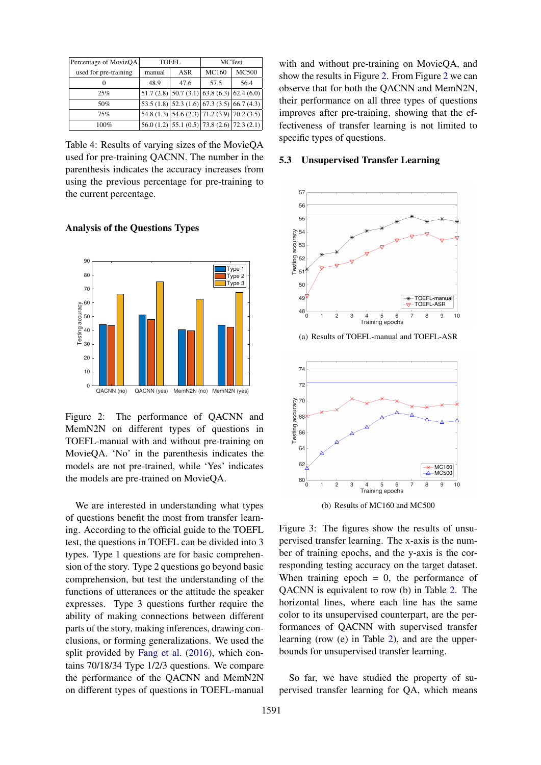| Percentage of MovieQA | <b>TOEFL</b> |            | <b>MCTest</b> |                                                    |
|-----------------------|--------------|------------|---------------|----------------------------------------------------|
| used for pre-training | manual       | <b>ASR</b> | MC160         | <b>MC500</b>                                       |
|                       | 48.9         | 47.6       | 57.5          | 56.4                                               |
| 25%                   |              |            |               | $51.7(2.8)$ $50.7(3.1)$ 63.8 (6.3) 62.4 (6.0)      |
| 50%                   |              |            |               | $53.5(1.8)$ $52.3(1.6)$ 67.3 (3.5) 66.7 (4.3)      |
| 75%                   |              |            |               | $54.8(1.3)$ 54.6 (2.3) 71.2 (3.9) 70.2 (3.5)       |
| 100%                  |              |            |               | $56.0(1.2)$ 55.1 $(0.5)$ 73.8 $(2.6)$ 72.3 $(2.1)$ |

Table 4: Results of varying sizes of the MovieQA used for pre-training QACNN. The number in the parenthesis indicates the accuracy increases from using the previous percentage for pre-training to the current percentage.

# Analysis of the Questions Types



Figure 2: The performance of QACNN and MemN2N on different types of questions in TOEFL-manual with and without pre-training on MovieQA. 'No' in the parenthesis indicates the models are not pre-trained, while 'Yes' indicates the models are pre-trained on MovieQA.

We are interested in understanding what types of questions benefit the most from transfer learning. According to the official guide to the TOEFL test, the questions in TOEFL can be divided into 3 types. Type 1 questions are for basic comprehension of the story. Type 2 questions go beyond basic comprehension, but test the understanding of the functions of utterances or the attitude the speaker expresses. Type 3 questions further require the ability of making connections between different parts of the story, making inferences, drawing conclusions, or forming generalizations. We used the split provided by Fang et al. (2016), which contains 70/18/34 Type 1/2/3 questions. We compare the performance of the QACNN and MemN2N on different types of questions in TOEFL-manual

with and without pre-training on MovieQA, and show the results in Figure 2. From Figure 2 we can observe that for both the QACNN and MemN2N, their performance on all three types of questions improves after pre-training, showing that the effectiveness of transfer learning is not limited to specific types of questions.

# 5.3 Unsupervised Transfer Learning



(a) Results of TOEFL-manual and TOEFL-ASR



(b) Results of MC160 and MC500

Figure 3: The figures show the results of unsupervised transfer learning. The x-axis is the number of training epochs, and the y-axis is the corresponding testing accuracy on the target dataset. When training epoch  $= 0$ , the performance of QACNN is equivalent to row (b) in Table 2. The horizontal lines, where each line has the same color to its unsupervised counterpart, are the performances of QACNN with supervised transfer learning (row (e) in Table 2), and are the upperbounds for unsupervised transfer learning.

So far, we have studied the property of supervised transfer learning for QA, which means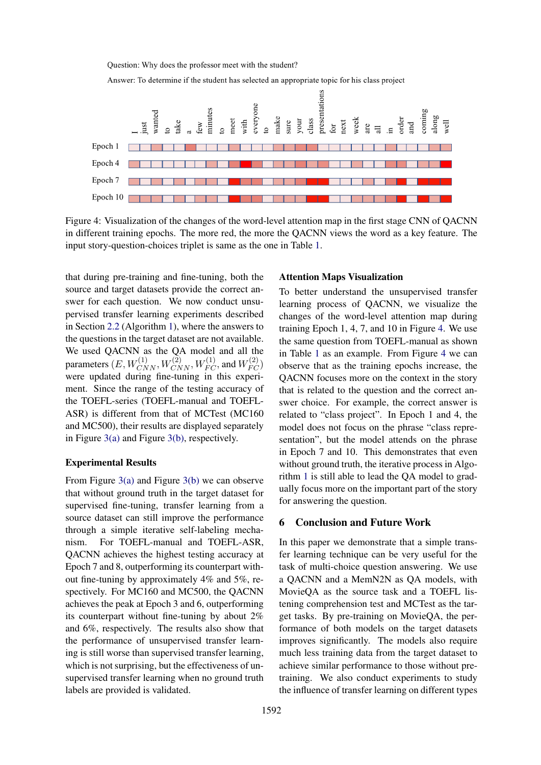

Answer: To determine if the student has selected an appropriate topic for his class project



Figure 4: Visualization of the changes of the word-level attention map in the first stage CNN of QACNN in different training epochs. The more red, the more the QACNN views the word as a key feature. The input story-question-choices triplet is same as the one in Table 1.

that during pre-training and fine-tuning, both the source and target datasets provide the correct answer for each question. We now conduct unsupervised transfer learning experiments described in Section 2.2 (Algorithm 1), where the answers to the questions in the target dataset are not available. We used QACNN as the QA model and all the parameters  $(E, W_{CNN}^{(1)}, W_{CNN}^{(2)}, W_{FC}^{(1)},$  and  $W_{FC}^{(2)}$ were updated during fine-tuning in this experiment. Since the range of the testing accuracy of the TOEFL-series (TOEFL-manual and TOEFL-ASR) is different from that of MCTest (MC160 and MC500), their results are displayed separately in Figure 3(a) and Figure 3(b), respectively.

### Experimental Results

From Figure 3(a) and Figure 3(b) we can observe that without ground truth in the target dataset for supervised fine-tuning, transfer learning from a source dataset can still improve the performance through a simple iterative self-labeling mechanism. For TOEFL-manual and TOEFL-ASR, QACNN achieves the highest testing accuracy at Epoch 7 and 8, outperforming its counterpart without fine-tuning by approximately 4% and 5%, respectively. For MC160 and MC500, the QACNN achieves the peak at Epoch 3 and 6, outperforming its counterpart without fine-tuning by about 2% and 6%, respectively. The results also show that the performance of unsupervised transfer learning is still worse than supervised transfer learning, which is not surprising, but the effectiveness of unsupervised transfer learning when no ground truth labels are provided is validated.

#### Attention Maps Visualization

To better understand the unsupervised transfer learning process of QACNN, we visualize the changes of the word-level attention map during training Epoch 1, 4, 7, and 10 in Figure 4. We use the same question from TOEFL-manual as shown in Table 1 as an example. From Figure 4 we can observe that as the training epochs increase, the QACNN focuses more on the context in the story that is related to the question and the correct answer choice. For example, the correct answer is related to "class project". In Epoch 1 and 4, the model does not focus on the phrase "class representation", but the model attends on the phrase in Epoch 7 and 10. This demonstrates that even without ground truth, the iterative process in Algorithm 1 is still able to lead the QA model to gradually focus more on the important part of the story for answering the question.

# 6 Conclusion and Future Work

In this paper we demonstrate that a simple transfer learning technique can be very useful for the task of multi-choice question answering. We use a QACNN and a MemN2N as QA models, with MovieQA as the source task and a TOEFL listening comprehension test and MCTest as the target tasks. By pre-training on MovieQA, the performance of both models on the target datasets improves significantly. The models also require much less training data from the target dataset to achieve similar performance to those without pretraining. We also conduct experiments to study the influence of transfer learning on different types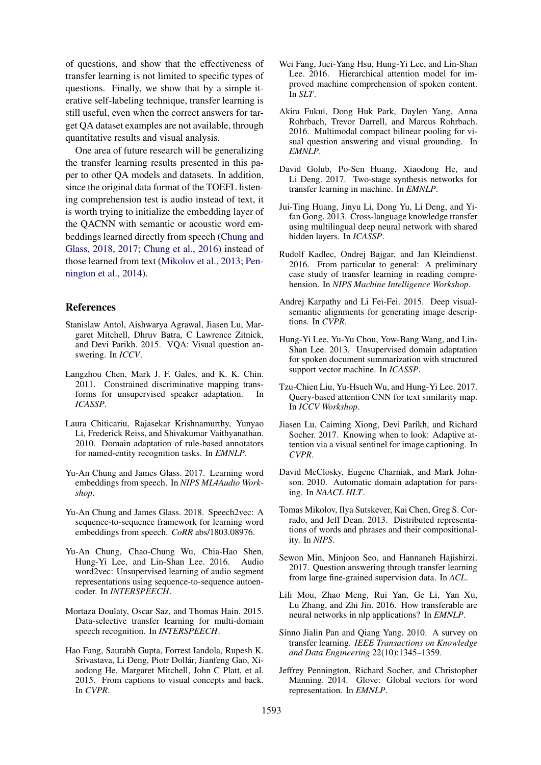of questions, and show that the effectiveness of transfer learning is not limited to specific types of questions. Finally, we show that by a simple iterative self-labeling technique, transfer learning is still useful, even when the correct answers for target QA dataset examples are not available, through quantitative results and visual analysis.

One area of future research will be generalizing the transfer learning results presented in this paper to other QA models and datasets. In addition, since the original data format of the TOEFL listening comprehension test is audio instead of text, it is worth trying to initialize the embedding layer of the QACNN with semantic or acoustic word embeddings learned directly from speech (Chung and Glass, 2018, 2017; Chung et al., 2016) instead of those learned from text (Mikolov et al., 2013; Pennington et al., 2014).

#### **References**

- Stanislaw Antol, Aishwarya Agrawal, Jiasen Lu, Margaret Mitchell, Dhruv Batra, C Lawrence Zitnick, and Devi Parikh. 2015. VQA: Visual question answering. In *ICCV*.
- Langzhou Chen, Mark J. F. Gales, and K. K. Chin. 2011. Constrained discriminative mapping transforms for unsupervised speaker adaptation. In *ICASSP*.
- Laura Chiticariu, Rajasekar Krishnamurthy, Yunyao Li, Frederick Reiss, and Shivakumar Vaithyanathan. 2010. Domain adaptation of rule-based annotators for named-entity recognition tasks. In *EMNLP*.
- Yu-An Chung and James Glass. 2017. Learning word embeddings from speech. In *NIPS ML4Audio Workshop*.
- Yu-An Chung and James Glass. 2018. Speech2vec: A sequence-to-sequence framework for learning word embeddings from speech. *CoRR* abs/1803.08976.
- Yu-An Chung, Chao-Chung Wu, Chia-Hao Shen, Hung-Yi Lee, and Lin-Shan Lee. 2016. Audio word2vec: Unsupervised learning of audio segment representations using sequence-to-sequence autoencoder. In *INTERSPEECH*.
- Mortaza Doulaty, Oscar Saz, and Thomas Hain. 2015. Data-selective transfer learning for multi-domain speech recognition. In *INTERSPEECH*.
- Hao Fang, Saurabh Gupta, Forrest Iandola, Rupesh K. Srivastava, Li Deng, Piotr Dollár, Jianfeng Gao, Xiaodong He, Margaret Mitchell, John C Platt, et al. 2015. From captions to visual concepts and back. In *CVPR*.
- Wei Fang, Juei-Yang Hsu, Hung-Yi Lee, and Lin-Shan Lee. 2016. Hierarchical attention model for improved machine comprehension of spoken content. In *SLT*.
- Akira Fukui, Dong Huk Park, Daylen Yang, Anna Rohrbach, Trevor Darrell, and Marcus Rohrbach. 2016. Multimodal compact bilinear pooling for visual question answering and visual grounding. In *EMNLP*.
- David Golub, Po-Sen Huang, Xiaodong He, and Li Deng. 2017. Two-stage synthesis networks for transfer learning in machine. In *EMNLP*.
- Jui-Ting Huang, Jinyu Li, Dong Yu, Li Deng, and Yifan Gong. 2013. Cross-language knowledge transfer using multilingual deep neural network with shared hidden layers. In *ICASSP*.
- Rudolf Kadlec, Ondrej Bajgar, and Jan Kleindienst. 2016. From particular to general: A preliminary case study of transfer learning in reading comprehension. In *NIPS Machine Intelligence Workshop*.
- Andrej Karpathy and Li Fei-Fei. 2015. Deep visualsemantic alignments for generating image descriptions. In *CVPR*.
- Hung-Yi Lee, Yu-Yu Chou, Yow-Bang Wang, and Lin-Shan Lee. 2013. Unsupervised domain adaptation for spoken document summarization with structured support vector machine. In *ICASSP*.
- Tzu-Chien Liu, Yu-Hsueh Wu, and Hung-Yi Lee. 2017. Query-based attention CNN for text similarity map. In *ICCV Workshop*.
- Jiasen Lu, Caiming Xiong, Devi Parikh, and Richard Socher. 2017. Knowing when to look: Adaptive attention via a visual sentinel for image captioning. In *CVPR*.
- David McClosky, Eugene Charniak, and Mark Johnson. 2010. Automatic domain adaptation for parsing. In *NAACL HLT*.
- Tomas Mikolov, Ilya Sutskever, Kai Chen, Greg S. Corrado, and Jeff Dean. 2013. Distributed representations of words and phrases and their compositionality. In *NIPS*.
- Sewon Min, Minjoon Seo, and Hannaneh Hajishirzi. 2017. Question answering through transfer learning from large fine-grained supervision data. In *ACL*.
- Lili Mou, Zhao Meng, Rui Yan, Ge Li, Yan Xu, Lu Zhang, and Zhi Jin. 2016. How transferable are neural networks in nlp applications? In *EMNLP*.
- Sinno Jialin Pan and Qiang Yang. 2010. A survey on transfer learning. *IEEE Transactions on Knowledge and Data Engineering* 22(10):1345–1359.
- Jeffrey Pennington, Richard Socher, and Christopher Manning. 2014. Glove: Global vectors for word representation. In *EMNLP*.